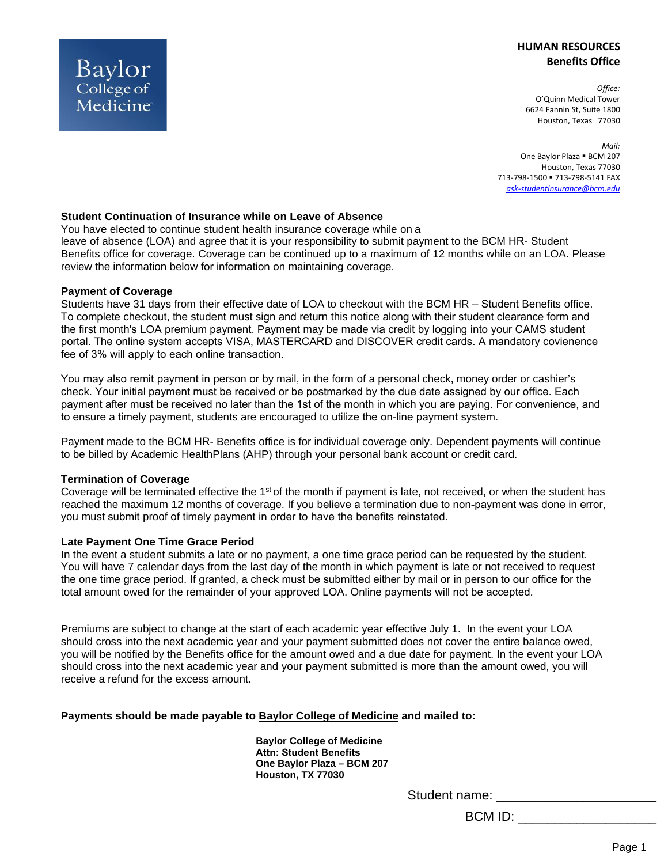# **HUMAN RESOURCES Benefits Office**

*Office:* O'Quinn Medical Tower 6624 Fannin St, Suite 1800 Houston, Texas 77030

*Mail:* One Baylor Plaza . BCM 207 Houston, Texas 77030 713-798-1500 - 713-798-5141 FAX *[ask-studentinsurance@bcm.edu](mailto:ask-studentinsurance@bcm.edu)*

## **Student Continuation of Insurance while on Leave of Absence**

You have elected to continue student health insurance coverage while on a leave of absence (LOA) and agree that it is your responsibility to submit payment to the BCM HR- Student Benefits office for coverage. Coverage can be continued up to a maximum of 12 months while on an LOA. Please review the information below for information on maintaining coverage.

#### **Payment of Coverage**

Baylor College of Medicine

Students have 31 days from their effective date of LOA to checkout with the BCM HR – Student Benefits office. To complete checkout, the student must sign and return this notice along with their student clearance form and the first month's LOA premium payment. Payment may be made via credit by logging into your CAMS student portal. The online system accepts VISA, MASTERCARD and DISCOVER credit cards. A mandatory covienence fee of 3% will apply to each online transaction.

You may also remit payment in person or by mail, in the form of a personal check, money order or cashier's check. Your initial payment must be received or be postmarked by the due date assigned by our office. Each payment after must be received no later than the 1st of the month in which you are paying. For convenience, and to ensure a timely payment, students are encouraged to utilize the on-line payment system.

Payment made to the BCM HR- Benefits office is for individual coverage only. Dependent payments will continue to be billed by Academic HealthPlans (AHP) through your personal bank account or credit card.

#### **Termination of Coverage**

Coverage will be terminated effective the 1<sup>st</sup> of the month if payment is late, not received, or when the student has reached the maximum 12 months of coverage. If you believe a termination due to non-payment was done in error, you must submit proof of timely payment in order to have the benefits reinstated.

#### **Late Payment One Time Grace Period**

In the event a student submits a late or no payment, a one time grace period can be requested by the student. You will have 7 calendar days from the last day of the month in which payment is late or not received to request the one time grace period. If granted, a check must be submitted either by mail or in person to our office for the total amount owed for the remainder of your approved LOA. Online payments will not be accepted.

Premiums are subject to change at the start of each academic year effective July 1. In the event your LOA should cross into the next academic year and your payment submitted does not cover the entire balance owed, you will be notified by the Benefits office for the amount owed and a due date for payment. In the event your LOA should cross into the next academic year and your payment submitted is more than the amount owed, you will receive a refund for the excess amount.

#### **Payments should be made payable to Baylor College of Medicine and mailed to:**

**Baylor College of Medicine Attn: Student Benefits One Baylor Plaza – BCM 207 Houston, TX 77030** 

Student name: \_\_\_\_\_\_\_\_\_\_\_

BCM ID: